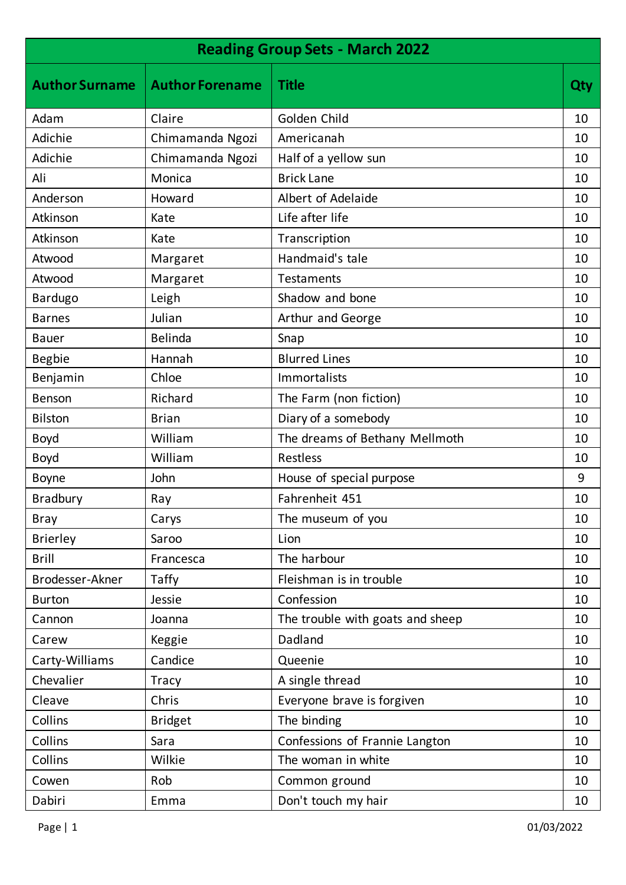| <b>Reading Group Sets - March 2022</b> |                        |                                  |     |
|----------------------------------------|------------------------|----------------------------------|-----|
| <b>Author Surname</b>                  | <b>Author Forename</b> | <b>Title</b>                     | Qty |
| Adam                                   | Claire                 | Golden Child                     | 10  |
| Adichie                                | Chimamanda Ngozi       | Americanah                       | 10  |
| Adichie                                | Chimamanda Ngozi       | Half of a yellow sun             | 10  |
| Ali                                    | Monica                 | <b>Brick Lane</b>                | 10  |
| Anderson                               | Howard                 | Albert of Adelaide               | 10  |
| Atkinson                               | Kate                   | Life after life                  | 10  |
| Atkinson                               | Kate                   | Transcription                    | 10  |
| Atwood                                 | Margaret               | Handmaid's tale                  | 10  |
| Atwood                                 | Margaret               | <b>Testaments</b>                | 10  |
| Bardugo                                | Leigh                  | Shadow and bone                  | 10  |
| <b>Barnes</b>                          | Julian                 | Arthur and George                | 10  |
| <b>Bauer</b>                           | Belinda                | Snap                             | 10  |
| <b>Begbie</b>                          | Hannah                 | <b>Blurred Lines</b>             | 10  |
| Benjamin                               | Chloe                  | Immortalists                     | 10  |
| Benson                                 | Richard                | The Farm (non fiction)           | 10  |
| <b>Bilston</b>                         | <b>Brian</b>           | Diary of a somebody              | 10  |
| <b>Boyd</b>                            | William                | The dreams of Bethany Mellmoth   | 10  |
| <b>Boyd</b>                            | William                | <b>Restless</b>                  | 10  |
| Boyne                                  | John                   | House of special purpose         | 9   |
| <b>Bradbury</b>                        | Ray                    | Fahrenheit 451                   | 10  |
| <b>Bray</b>                            | Carys                  | The museum of you                | 10  |
| <b>Brierley</b>                        | Saroo                  | Lion                             | 10  |
| <b>Brill</b>                           | Francesca              | The harbour                      | 10  |
| Brodesser-Akner                        | Taffy                  | Fleishman is in trouble          | 10  |
| <b>Burton</b>                          | Jessie                 | Confession                       | 10  |
| Cannon                                 | Joanna                 | The trouble with goats and sheep | 10  |
| Carew                                  | Keggie                 | Dadland                          | 10  |
| Carty-Williams                         | Candice                | Queenie                          | 10  |
| Chevalier                              | <b>Tracy</b>           | A single thread                  | 10  |
| Cleave                                 | Chris                  | Everyone brave is forgiven       | 10  |
| Collins                                | <b>Bridget</b>         | The binding                      | 10  |
| Collins                                | Sara                   | Confessions of Frannie Langton   | 10  |
| Collins                                | Wilkie                 | The woman in white               | 10  |
| Cowen                                  | Rob                    | Common ground                    | 10  |
| Dabiri                                 | Emma                   | Don't touch my hair              | 10  |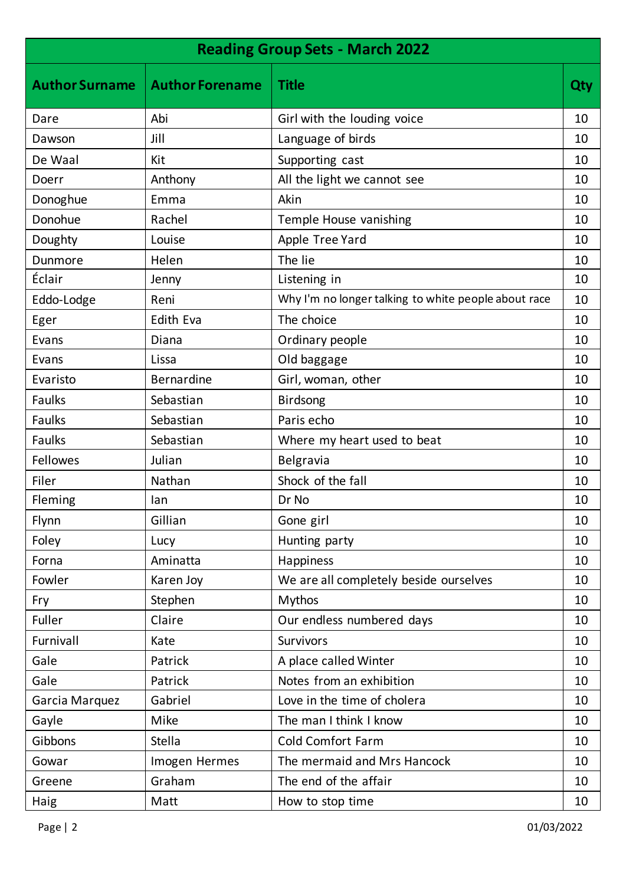| <b>Reading Group Sets - March 2022</b> |                        |                                                      |     |
|----------------------------------------|------------------------|------------------------------------------------------|-----|
| <b>Author Surname</b>                  | <b>Author Forename</b> | <b>Title</b>                                         | Qty |
| Dare                                   | Abi                    | Girl with the louding voice                          | 10  |
| Dawson                                 | Jill                   | Language of birds                                    | 10  |
| De Waal                                | Kit                    | Supporting cast                                      | 10  |
| Doerr                                  | Anthony                | All the light we cannot see                          | 10  |
| Donoghue                               | Emma                   | Akin                                                 | 10  |
| Donohue                                | Rachel                 | Temple House vanishing                               | 10  |
| Doughty                                | Louise                 | Apple Tree Yard                                      | 10  |
| Dunmore                                | Helen                  | The lie                                              | 10  |
| Éclair                                 | Jenny                  | Listening in                                         | 10  |
| Eddo-Lodge                             | Reni                   | Why I'm no longer talking to white people about race | 10  |
| Eger                                   | <b>Edith Eva</b>       | The choice                                           | 10  |
| Evans                                  | Diana                  | Ordinary people                                      | 10  |
| Evans                                  | Lissa                  | Old baggage                                          | 10  |
| Evaristo                               | <b>Bernardine</b>      | Girl, woman, other                                   | 10  |
| <b>Faulks</b>                          | Sebastian              | <b>Birdsong</b>                                      | 10  |
| <b>Faulks</b>                          | Sebastian              | Paris echo                                           | 10  |
| <b>Faulks</b>                          | Sebastian              | Where my heart used to beat                          | 10  |
| <b>Fellowes</b>                        | Julian                 | Belgravia                                            | 10  |
| Filer                                  | Nathan                 | Shock of the fall                                    | 10  |
| Fleming                                | lan                    | Dr No                                                | 10  |
| Flynn                                  | Gillian                | Gone girl                                            | 10  |
| Foley                                  | Lucy                   | Hunting party                                        | 10  |
| Forna                                  | Aminatta               | Happiness                                            | 10  |
| Fowler                                 | Karen Joy              | We are all completely beside ourselves               | 10  |
| Fry                                    | Stephen                | <b>Mythos</b>                                        | 10  |
| Fuller                                 | Claire                 | Our endless numbered days                            | 10  |
| Furnivall                              | Kate                   | Survivors                                            | 10  |
| Gale                                   | Patrick                | A place called Winter                                | 10  |
| Gale                                   | Patrick                | Notes from an exhibition                             | 10  |
| Garcia Marquez                         | Gabriel                | Love in the time of cholera                          | 10  |
| Gayle                                  | Mike                   | The man I think I know                               | 10  |
| Gibbons                                | <b>Stella</b>          | <b>Cold Comfort Farm</b>                             | 10  |
| Gowar                                  | Imogen Hermes          | The mermaid and Mrs Hancock                          | 10  |
| Greene                                 | Graham                 | The end of the affair                                | 10  |
| Haig                                   | Matt                   | How to stop time                                     | 10  |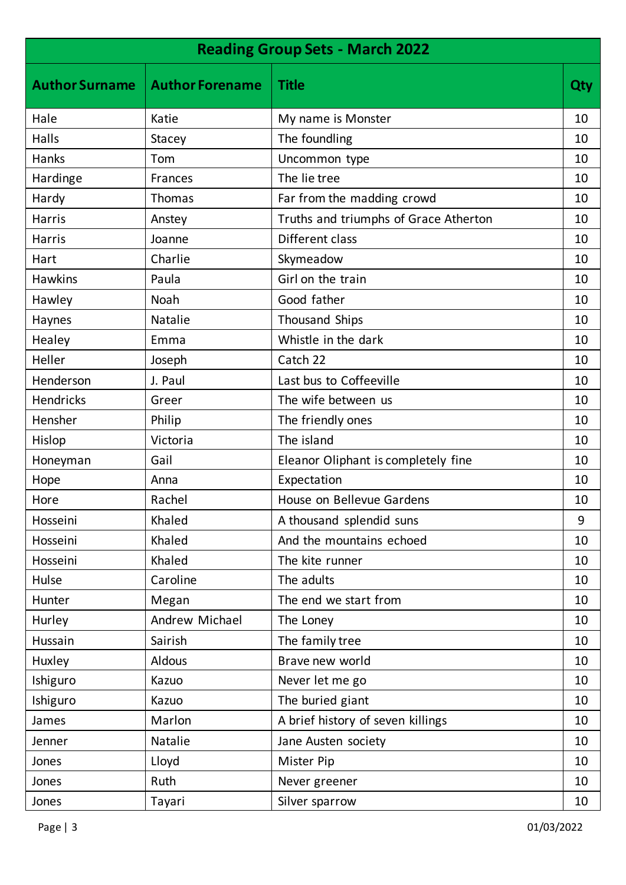| <b>Reading Group Sets - March 2022</b> |                        |                                       |     |
|----------------------------------------|------------------------|---------------------------------------|-----|
| <b>Author Surname</b>                  | <b>Author Forename</b> | <b>Title</b>                          | Qty |
| Hale                                   | Katie                  | My name is Monster                    | 10  |
| Halls                                  | <b>Stacey</b>          | The foundling                         | 10  |
| Hanks                                  | Tom                    | Uncommon type                         | 10  |
| Hardinge                               | Frances                | The lie tree                          | 10  |
| Hardy                                  | <b>Thomas</b>          | Far from the madding crowd            | 10  |
| <b>Harris</b>                          | Anstey                 | Truths and triumphs of Grace Atherton | 10  |
| <b>Harris</b>                          | Joanne                 | Different class                       | 10  |
| Hart                                   | Charlie                | Skymeadow                             | 10  |
| <b>Hawkins</b>                         | Paula                  | Girl on the train                     | 10  |
| Hawley                                 | Noah                   | Good father                           | 10  |
| Haynes                                 | Natalie                | <b>Thousand Ships</b>                 | 10  |
| Healey                                 | Emma                   | Whistle in the dark                   | 10  |
| Heller                                 | Joseph                 | Catch 22                              | 10  |
| Henderson                              | J. Paul                | Last bus to Coffeeville               | 10  |
| <b>Hendricks</b>                       | Greer                  | The wife between us                   | 10  |
| Hensher                                | Philip                 | The friendly ones                     | 10  |
| Hislop                                 | Victoria               | The island                            | 10  |
| Honeyman                               | Gail                   | Eleanor Oliphant is completely fine   | 10  |
| Hope                                   | Anna                   | Expectation                           | 10  |
| Hore                                   | Rachel                 | House on Bellevue Gardens             | 10  |
| Hosseini                               | Khaled                 | A thousand splendid suns              | 9   |
| Hosseini                               | Khaled                 | And the mountains echoed              | 10  |
| Hosseini                               | Khaled                 | The kite runner                       | 10  |
| Hulse                                  | Caroline               | The adults                            | 10  |
| Hunter                                 | Megan                  | The end we start from                 | 10  |
| Hurley                                 | Andrew Michael         | The Loney                             | 10  |
| Hussain                                | Sairish                | The family tree                       | 10  |
| Huxley                                 | <b>Aldous</b>          | Brave new world                       | 10  |
| Ishiguro                               | Kazuo                  | Never let me go                       | 10  |
| Ishiguro                               | Kazuo                  | The buried giant                      | 10  |
| James                                  | Marlon                 | A brief history of seven killings     | 10  |
| Jenner                                 | Natalie                | Jane Austen society                   | 10  |
| Jones                                  | Lloyd                  | Mister Pip                            | 10  |
| Jones                                  | Ruth                   | Never greener                         | 10  |
| Jones                                  | Tayari                 | Silver sparrow                        | 10  |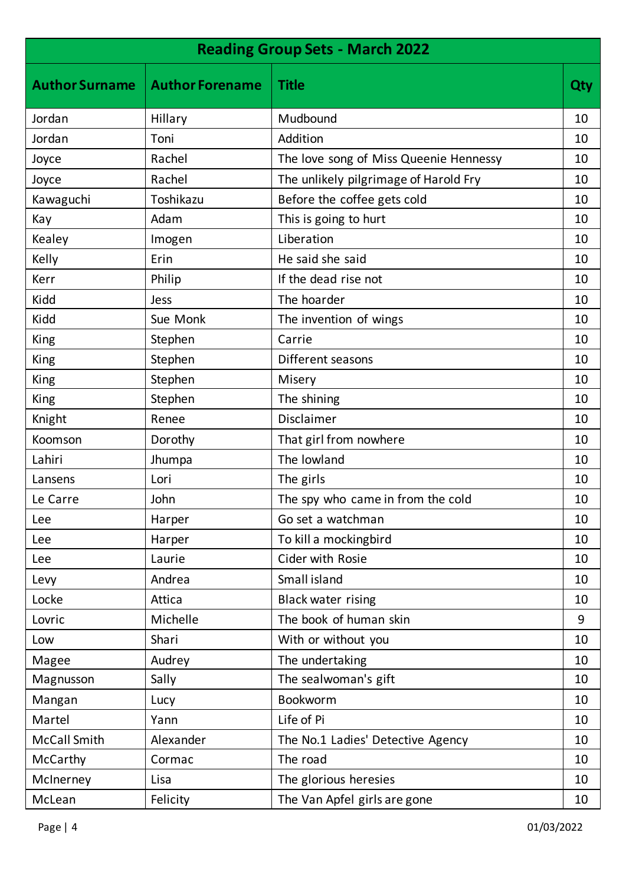| <b>Reading Group Sets - March 2022</b> |                        |                                        |            |
|----------------------------------------|------------------------|----------------------------------------|------------|
| <b>Author Surname</b>                  | <b>Author Forename</b> | <b>Title</b>                           | <b>Qty</b> |
| Jordan                                 | Hillary                | Mudbound                               | 10         |
| Jordan                                 | Toni                   | Addition                               | 10         |
| Joyce                                  | Rachel                 | The love song of Miss Queenie Hennessy | 10         |
| Joyce                                  | Rachel                 | The unlikely pilgrimage of Harold Fry  | 10         |
| Kawaguchi                              | Toshikazu              | Before the coffee gets cold            | 10         |
| Kay                                    | Adam                   | This is going to hurt                  | 10         |
| Kealey                                 | Imogen                 | Liberation                             | 10         |
| Kelly                                  | Erin                   | He said she said                       | 10         |
| Kerr                                   | Philip                 | If the dead rise not                   | 10         |
| Kidd                                   | Jess                   | The hoarder                            | 10         |
| Kidd                                   | Sue Monk               | The invention of wings                 | 10         |
| King                                   | Stephen                | Carrie                                 | 10         |
| King                                   | Stephen                | Different seasons                      | 10         |
| King                                   | Stephen                | Misery                                 | 10         |
| King                                   | Stephen                | The shining                            | 10         |
| Knight                                 | Renee                  | Disclaimer                             | 10         |
| Koomson                                | Dorothy                | That girl from nowhere                 | 10         |
| Lahiri                                 | Jhumpa                 | The lowland                            | 10         |
| Lansens                                | Lori                   | The girls                              | 10         |
| Le Carre                               | John                   | The spy who came in from the cold      | 10         |
| Lee                                    | Harper                 | Go set a watchman                      | 10         |
| Lee                                    | Harper                 | To kill a mockingbird                  | 10         |
| <b>Lee</b>                             | Laurie                 | Cider with Rosie                       | 10         |
| Levy                                   | Andrea                 | Small island                           | 10         |
| Locke                                  | Attica                 | <b>Black water rising</b>              | 10         |
| Lovric                                 | Michelle               | The book of human skin                 | 9          |
| Low                                    | Shari                  | With or without you                    | 10         |
| Magee                                  | Audrey                 | The undertaking                        | 10         |
| Magnusson                              | Sally                  | The sealwoman's gift                   | 10         |
| Mangan                                 | Lucy                   | <b>Bookworm</b>                        | 10         |
| Martel                                 | Yann                   | Life of Pi                             | 10         |
| <b>McCall Smith</b>                    | Alexander              | The No.1 Ladies' Detective Agency      | 10         |
| McCarthy                               | Cormac                 | The road                               | 10         |
| McInerney                              | Lisa                   | The glorious heresies                  | 10         |
| McLean                                 | Felicity               | The Van Apfel girls are gone           | 10         |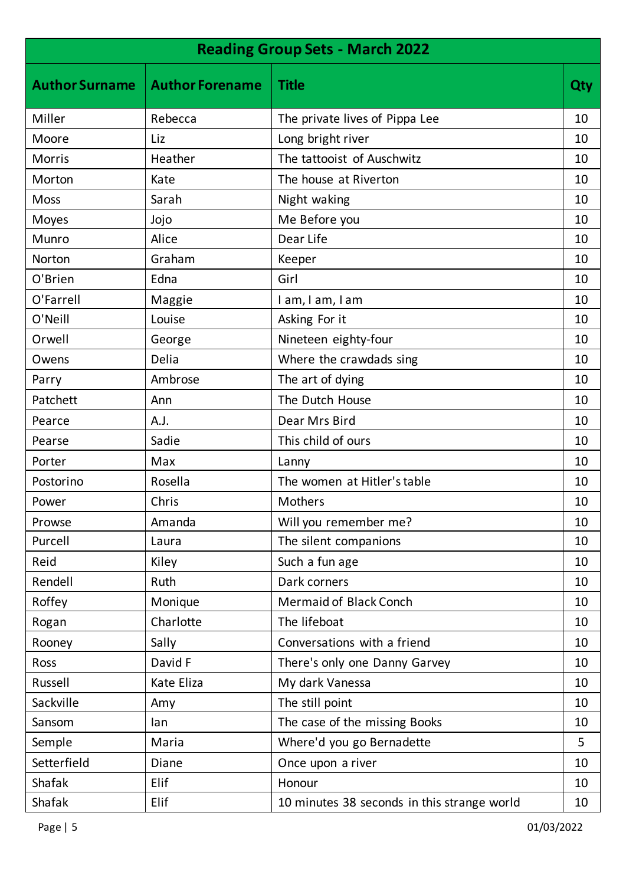| <b>Reading Group Sets - March 2022</b> |                        |                                             |     |
|----------------------------------------|------------------------|---------------------------------------------|-----|
| <b>Author Surname</b>                  | <b>Author Forename</b> | <b>Title</b>                                | Qty |
| Miller                                 | Rebecca                | The private lives of Pippa Lee              | 10  |
| Moore                                  | Liz                    | Long bright river                           | 10  |
| <b>Morris</b>                          | Heather                | The tattooist of Auschwitz                  | 10  |
| Morton                                 | Kate                   | The house at Riverton                       | 10  |
| <b>Moss</b>                            | Sarah                  | Night waking                                | 10  |
| Moyes                                  | Jojo                   | Me Before you                               | 10  |
| Munro                                  | Alice                  | Dear Life                                   | 10  |
| Norton                                 | Graham                 | Keeper                                      | 10  |
| O'Brien                                | Edna                   | Girl                                        | 10  |
| O'Farrell                              | Maggie                 | I am, I am, I am                            | 10  |
| O'Neill                                | Louise                 | Asking For it                               | 10  |
| Orwell                                 | George                 | Nineteen eighty-four                        | 10  |
| Owens                                  | Delia                  | Where the crawdads sing                     | 10  |
| Parry                                  | Ambrose                | The art of dying                            | 10  |
| Patchett                               | Ann                    | The Dutch House                             | 10  |
| Pearce                                 | A.J.                   | Dear Mrs Bird                               | 10  |
| Pearse                                 | Sadie                  | This child of ours                          | 10  |
| Porter                                 | Max                    | Lanny                                       | 10  |
| Postorino                              | Rosella                | The women at Hitler's table                 | 10  |
| Power                                  | Chris                  | Mothers                                     | 10  |
| Prowse                                 | Amanda                 | Will you remember me?                       | 10  |
| Purcell                                | Laura                  | The silent companions                       | 10  |
| Reid                                   | Kiley                  | Such a fun age                              | 10  |
| Rendell                                | Ruth                   | Dark corners                                | 10  |
| Roffey                                 | Monique                | <b>Mermaid of Black Conch</b>               | 10  |
| Rogan                                  | Charlotte              | The lifeboat                                | 10  |
| Rooney                                 | Sally                  | Conversations with a friend                 | 10  |
| Ross                                   | David F                | There's only one Danny Garvey               | 10  |
| Russell                                | Kate Eliza             | My dark Vanessa                             | 10  |
| Sackville                              | Amy                    | The still point                             | 10  |
| Sansom                                 | lan                    | The case of the missing Books               | 10  |
| Semple                                 | Maria                  | Where'd you go Bernadette                   | 5   |
| Setterfield                            | Diane                  | Once upon a river                           | 10  |
| <b>Shafak</b>                          | Elif                   | Honour                                      | 10  |
| Shafak                                 | Elif                   | 10 minutes 38 seconds in this strange world | 10  |